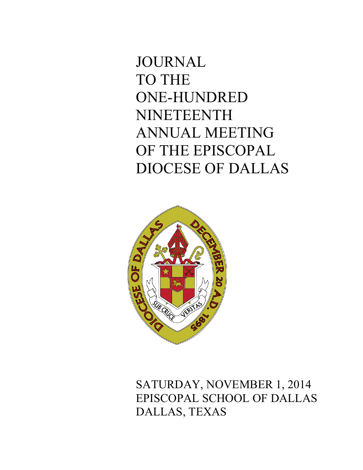# JOURNAL TO THE ONE-HUNDRED NINETEENTH ANNUAL MEETING OF THE EPISCOPAL DIOCESE OF DALLAS



SATURDAY, NOVEMBER 1, 2014 EPISCOPAL SCHOOL OF DALLAS DALLAS, TEXAS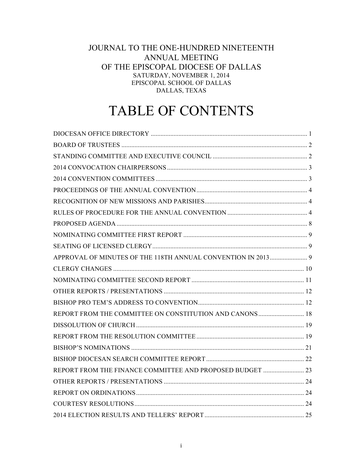# JOURNAL TO THE ONE-HUNDRED NINETEENTH ANNUAL MEETING OF THE EPISCOPAL DIOCESE OF DALLAS SATURDAY, NOVEMBER 1, 2014 EPISCOPAL SCHOOL OF DALLAS DALLAS, TEXAS

# TABLE OF CONTENTS

| REPORT FROM THE COMMITTEE ON CONSTITUTION AND CANONS  18  |  |
|-----------------------------------------------------------|--|
|                                                           |  |
|                                                           |  |
|                                                           |  |
|                                                           |  |
| REPORT FROM THE FINANCE COMMITTEE AND PROPOSED BUDGET  23 |  |
|                                                           |  |
|                                                           |  |
|                                                           |  |
|                                                           |  |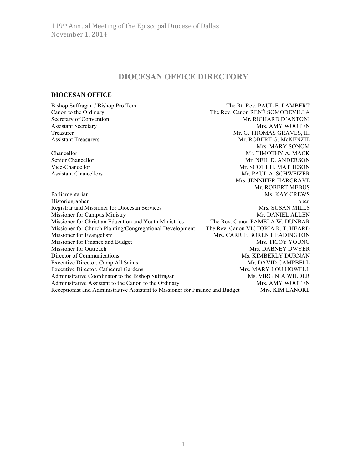# **DIOCESAN OFFICE DIRECTORY**

The Rev. Canon RENÉ SOMODEVILLA

Mrs. MARY SONOM

Mrs. JENNIFER HARGRAVE

## **DIOCESAN OFFICE**

Bishop Suffragan / Bishop Pro Tem The Rt. Rev. PAUL E. LAMBERT<br>
Canon to the Ordinary The Rev. Canon RENÉ SOMODEVILLA Secretary of Convention and Secretary of Convention and Secretary of Convention Assistant Secretary Mrs. AMY WOOTEN Treasurer Mr. G. THOMAS GRAVES, III Assistant Treasurers Mr. ROBERT G. McKENZIE

Chancellor Mr. TIMOTHY A. MACK Senior Chancellor Mr. NEIL D. ANDERSON Vice-Chancellor Mr. SCOTT H. MATHESON Assistant Chancellors **Mr. PAUL A. SCHWEIZER** 

Mr. ROBERT MEBUS Parliamentarian Ms. KAY CREWS Historiographer open Registrar and Missioner for Diocesan Services Mrs. SUSAN MILLS Missioner for Campus Ministry and American control of the Minister Mr. DANIEL ALLEN Missioner for Christian Education and Youth Ministries The Rev. Canon PAMELA W. DUNBAR Missioner for Church Planting/Congregational Development The Rev. Canon VICTORIA R. T. HEARD Missioner for Evangelism Mrs. CARRIE BOREN HEADINGTON Missioner for Finance and Budget Mrs. TICOY YOUNG Missioner for Outreach Mrs. DABNEY DWYER Director of Communications Ms. KIMBERLY DURNAN Executive Director, Camp All Saints Mr. DAVID CAMPBELL Executive Director, Cathedral Gardens Mrs. MARY LOU HOWELL Administrative Coordinator to the Bishop Suffragan Ms. VIRGINIA WILDER Administrative Assistant to the Canon to the Ordinary Mrs. AMY WOOTEN Receptionist and Administrative Assistant to Missioner for Finance and Budget Mrs. KIM LANORE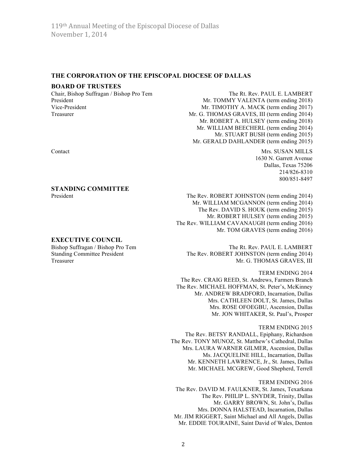#### **THE CORPORATION OF THE EPISCOPAL DIOCESE OF DALLAS**

#### **BOARD OF TRUSTEES**

Chair, Bishop Suffragan / Bishop Pro Tem The Rt. Rev. PAUL E. LAMBERT

President Mr. TOMMY VALENTA (term ending 2018) Vice-President Mr. TIMOTHY A. MACK (term ending 2017) Treasurer Mr. G. THOMAS GRAVES, III (term ending 2014) Mr. ROBERT A. HULSEY (term ending 2018) Mr. WILLIAM BEECHERL (term ending 2014) Mr. STUART BUSH (term ending 2015) Mr. GERALD DAHLANDER (term ending 2015)

Contact Mrs. SUSAN MILLS 1630 N. Garrett Avenue Dallas, Texas 75206 214/826-8310 800/851-8497

President The Rev. ROBERT JOHNSTON (term ending 2014) Mr. WILLIAM MCGANNON (term ending 2014) The Rev. DAVID S. HOUK (term ending 2015) Mr. ROBERT HULSEY (term ending 2015) The Rev. WILLIAM CAVANAUGH (term ending 2016) Mr. TOM GRAVES (term ending 2016)

Bishop Suffragan / Bishop Pro Tem The Rt. Rev. PAUL E. LAMBERT Standing Committee President The Rev. ROBERT JOHNSTON (term ending 2014) Treasurer Mr. G. THOMAS GRAVES, III

> TERM ENDING 2014 The Rev. CRAIG REED, St. Andrews, Farmers Branch The Rev. MICHAEL HOFFMAN, St. Peter's, McKinney Mr. ANDREW BRADFORD, Incarnation, Dallas Mrs. CATHLEEN DOLT, St. James, Dallas Mrs. ROSE OFOEGBU, Ascension, Dallas Mr. JON WHITAKER, St. Paul's, Prosper

TERM ENDING 2015 The Rev. BETSY RANDALL, Epiphany, Richardson The Rev. TONY MUNOZ, St. Matthew's Cathedral, Dallas Mrs. LAURA WARNER GILMER, Ascension, Dallas Ms. JACQUELINE HILL, Incarnation, Dallas Mr. KENNETH LAWRENCE, Jr., St. James, Dallas Mr. MICHAEL MCGREW, Good Shepherd, Terrell

TERM ENDING 2016 The Rev. DAVID M. FAULKNER, St. James, Texarkana The Rev. PHILIP L. SNYDER, Trinity, Dallas Mr. GARRY BROWN, St. John's, Dallas Mrs. DONNA HALSTEAD, Incarnation, Dallas Mr. JIM RIGGERT, Saint Michael and All Angels, Dallas Mr. EDDIE TOURAINE, Saint David of Wales, Denton

#### **STANDING COMMITTEE**

#### **EXECUTIVE COUNCIL**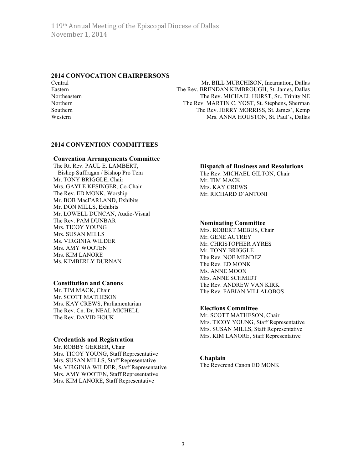# **2014 CONVOCATION CHAIRPERSONS**

Central Mr. BILL MURCHISON, Incarnation, Dallas Eastern The Rev. BRENDAN KIMBROUGH, St. James, Dallas Northeastern The Rev. MICHAEL HURST, Sr., Trinity NE Northern The Rev. MARTIN C. YOST, St. Stephens, Sherman Southern The Rev. JERRY MORRISS, St. James', Kemp Western Mrs. ANNA HOUSTON, St. Paul's, Dallas

# **2014 CONVENTION COMMITTEES**

#### **Convention Arrangements Committee**

The Rt. Rev. PAUL E. LAMBERT, Bishop Suffragan / Bishop Pro Tem Mr. TONY BRIGGLE, Chair Mrs. GAYLE KESINGER, Co-Chair The Rev. ED MONK, Worship Mr. BOB MacFARLAND, Exhibits Mr. DON MILLS, Exhibits Mr. LOWELL DUNCAN, Audio-Visual The Rev. PAM DUNBAR Mrs. TICOY YOUNG Mrs. SUSAN MILLS Ms. VIRGINIA WILDER Mrs. AMY WOOTEN Mrs. KIM LANORE Ms. KIMBERLY DURNAN

## **Constitution and Canons**

Mr. TIM MACK, Chair Mr. SCOTT MATHESON Mrs. KAY CREWS, Parliamentarian The Rev. Cn. Dr. NEAL MICHELL The Rev. DAVID HOUK

## **Credentials and Registration**

Mr. ROBBY GERBER, Chair Mrs. TICOY YOUNG, Staff Representative Mrs. SUSAN MILLS, Staff Representative Ms. VIRGINIA WILDER, Staff Representative Mrs. AMY WOOTEN, Staff Representative Mrs. KIM LANORE, Staff Representative

# **Dispatch of Business and Resolutions**

The Rev. MICHAEL GILTON, Chair Mr. TIM MACK Mrs. KAY CREWS Mr. RICHARD D'ANTONI

## **Nominating Committee**

Mrs. ROBERT MEBUS, Chair Mr. GENE AUTREY Mr. CHRISTOPHER AYRES Mr. TONY BRIGGLE The Rev. NOE MENDEZ The Rev. ED MONK Ms. ANNE MOON Mrs. ANNE SCHMIDT The Rev. ANDREW VAN KIRK The Rev. FABIAN VILLALOBOS

# **Elections Committee**

Mr. SCOTT MATHESON, Chair Mrs. TICOY YOUNG, Staff Representative Mrs. SUSAN MILLS, Staff Representative Mrs. KIM LANORE, Staff Representative

## **Chaplain**

The Reverend Canon ED MONK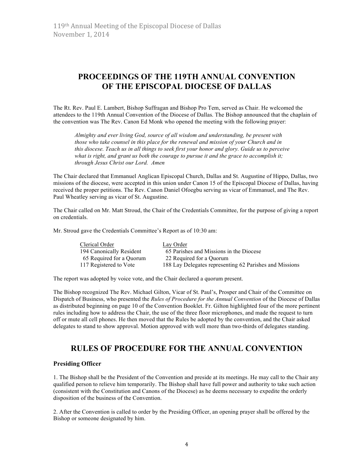# **PROCEEDINGS OF THE 119TH ANNUAL CONVENTION OF THE EPISCOPAL DIOCESE OF DALLAS**

The Rt. Rev. Paul E. Lambert, Bishop Suffragan and Bishop Pro Tem, served as Chair. He welcomed the attendees to the 119th Annual Convention of the Diocese of Dallas. The Bishop announced that the chaplain of the convention was The Rev. Canon Ed Monk who opened the meeting with the following prayer:

*Almighty and ever living God, source of all wisdom and understanding, be present with those who take counsel in this place for the renewal and mission of your Church and in this diocese. Teach us in all things to seek first your honor and glory. Guide us to perceive*  what is right, and grant us both the courage to pursue it and the grace to accomplish it; *through Jesus Christ our Lord. Amen*

The Chair declared that Emmanuel Anglican Episcopal Church, Dallas and St. Augustine of Hippo, Dallas, two missions of the diocese, were accepted in this union under Canon 15 of the Episcopal Diocese of Dallas, having received the proper petitions. The Rev. Canon Daniel Ofoegbu serving as vicar of Emmanuel, and The Rev. Paul Wheatley serving as vicar of St. Augustine.

The Chair called on Mr. Matt Stroud, the Chair of the Credentials Committee, for the purpose of giving a report on credentials.

Mr. Stroud gave the Credentials Committee's Report as of 10:30 am:

| Clerical Order           | Lay Order                                               |
|--------------------------|---------------------------------------------------------|
| 194 Canonically Resident | 65 Parishes and Missions in the Diocese                 |
| 65 Required for a Quorum | 22 Required for a Quorum                                |
| 117 Registered to Vote   | 188 Lay Delegates representing 62 Parishes and Missions |

The report was adopted by voice vote, and the Chair declared a quorum present.

The Bishop recognized The Rev. Michael Gilton, Vicar of St. Paul's, Prosper and Chair of the Committee on Dispatch of Business, who presented the *Rules of Procedure for the Annual Convention* of the Diocese of Dallas as distributed beginning on page 10 of the Convention Booklet. Fr. Gilton highlighted four of the more pertinent rules including how to address the Chair, the use of the three floor microphones, and made the request to turn off or mute all cell phones. He then moved that the Rules be adopted by the convention, and the Chair asked delegates to stand to show approval. Motion approved with well more than two-thirds of delegates standing.

# **RULES OF PROCEDURE FOR THE ANNUAL CONVENTION**

#### **Presiding Officer**

1. The Bishop shall be the President of the Convention and preside at its meetings. He may call to the Chair any qualified person to relieve him temporarily. The Bishop shall have full power and authority to take such action (consistent with the Constitution and Canons of the Diocese) as he deems necessary to expedite the orderly disposition of the business of the Convention.

2. After the Convention is called to order by the Presiding Officer, an opening prayer shall be offered by the Bishop or someone designated by him.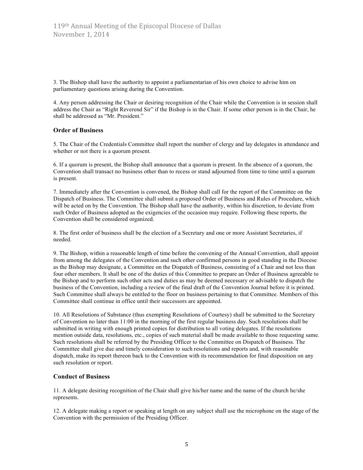3. The Bishop shall have the authority to appoint a parliamentarian of his own choice to advise him on parliamentary questions arising during the Convention.

4. Any person addressing the Chair or desiring recognition of the Chair while the Convention is in session shall address the Chair as "Right Reverend Sir" if the Bishop is in the Chair. If some other person is in the Chair, he shall be addressed as "Mr. President."

#### **Order of Business**

5. The Chair of the Credentials Committee shall report the number of clergy and lay delegates in attendance and whether or not there is a quorum present.

6. If a quorum is present, the Bishop shall announce that a quorum is present. In the absence of a quorum, the Convention shall transact no business other than to recess or stand adjourned from time to time until a quorum is present.

7. Immediately after the Convention is convened, the Bishop shall call for the report of the Committee on the Dispatch of Business. The Committee shall submit a proposed Order of Business and Rules of Procedure, which will be acted on by the Convention. The Bishop shall have the authority, within his discretion, to deviate from such Order of Business adopted as the exigencies of the occasion may require. Following these reports, the Convention shall be considered organized.

8. The first order of business shall be the election of a Secretary and one or more Assistant Secretaries, if needed.

9. The Bishop, within a reasonable length of time before the convening of the Annual Convention, shall appoint from among the delegates of the Convention and such other confirmed persons in good standing in the Diocese as the Bishop may designate, a Committee on the Dispatch of Business, consisting of a Chair and not less than four other members. It shall be one of the duties of this Committee to prepare an Order of Business agreeable to the Bishop and to perform such other acts and duties as may be deemed necessary or advisable to dispatch the business of the Convention, including a review of the final draft of the Convention Journal before it is printed. Such Committee shall always be entitled to the floor on business pertaining to that Committee. Members of this Committee shall continue in office until their successors are appointed.

10. All Resolutions of Substance (thus exempting Resolutions of Courtesy) shall be submitted to the Secretary of Convention no later than 11:00 in the morning of the first regular business day. Such resolutions shall be submitted in writing with enough printed copies for distribution to all voting delegates. If the resolutions mention outside data, resolutions, etc., copies of such material shall be made available to those requesting same. Such resolutions shall be referred by the Presiding Officer to the Committee on Dispatch of Business. The Committee shall give due and timely consideration to such resolutions and reports and, with reasonable dispatch, make its report thereon back to the Convention with its recommendation for final disposition on any such resolution or report.

## **Conduct of Business**

11. A delegate desiring recognition of the Chair shall give his/her name and the name of the church he/she represents.

12. A delegate making a report or speaking at length on any subject shall use the microphone on the stage of the Convention with the permission of the Presiding Officer.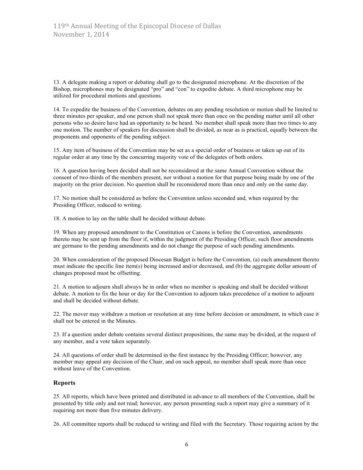13. A delegate making a report or debating shall go to the designated microphone. At the discretion of the Bishop, microphones may be designated "pro" and "con" to expedite debate. A third microphone may be utilized for procedural motions and questions.

14. To expedite the business of the Convention, debates on any pending resolution or motion shall be limited to three minutes per speaker, and one person shall not speak more than once on the pending matter until all other persons who so desire have had an opportunity to be heard. No member shall speak more than two times to any one motion. The number of speakers for discussion shall be divided, as near as is practical, equally between the proponents and opponents of the pending subject.

15. Any item of business of the Convention may be set as a special order of business or taken up out of its regular order at any time by the concurring majority vote of the delegates of both orders.

16. A question having been decided shall not be reconsidered at the same Annual Convention without the consent of two-thirds of the members present, nor without a motion for that purpose being made by one of the majority on the prior decision. No question shall be reconsidered more than once and only on the same day.

17. No motion shall be considered as before the Convention unless seconded and, when required by the Presiding Officer, reduced to writing.

18. A motion to lay on the table shall be decided without debate.

19. When any proposed amendment to the Constitution or Canons is before the Convention, amendments thereto may be sent up from the floor if, within the judgment of the Presiding Officer, such floor amendments are germane to the pending amendments and do not change the purpose of such pending amendments.

20. When consideration of the proposed Diocesan Budget is before the Convention, (a) each amendment thereto must indicate the specific line item(s) being increased and/or decreased, and (b) the aggregate dollar amount of changes proposed must be offsetting.

21. A motion to adjourn shall always be in order when no member is speaking and shall be decided without debate. A motion to fix the hour or day for the Convention to adjourn takes precedence of a motion to adjourn and shall be decided without debate.

22. The mover may withdraw a motion or resolution at any time before decision or amendment, in which case it shall not be entered in the Minutes.

23. If a question under debate contains several distinct propositions, the same may be divided, at the request of any member, and a vote taken separately.

24. All questions of order shall be determined in the first instance by the Presiding Officer; however, any member may appeal any decision of the Chair, and on such appeal, no member shall speak more than once without leave of the Convention.

#### **Reports**

25. All reports, which have been printed and distributed in advance to all members of the Convention, shall be presented by title only and not read; however, any person presenting such a report may give a summary of it requiring not more than five minutes delivery.

26. All committee reports shall be reduced to writing and filed with the Secretary. Those requiring action by the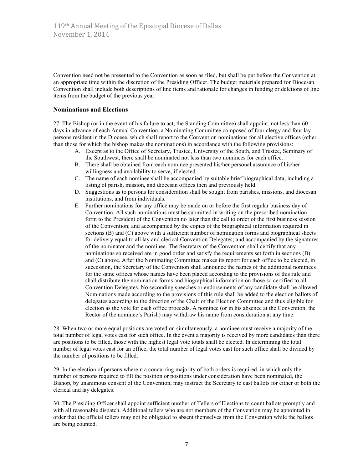Convention need not be presented to the Convention as soon as filed, but shall be put before the Convention at an appropriate time within the discretion of the Presiding Officer. The budget materials prepared for Diocesan Convention shall include both descriptions of line items and rationale for changes in funding or deletions of line items from the budget of the previous year.

## **Nominations and Elections**

27. The Bishop (or in the event of his failure to act, the Standing Committee) shall appoint, not less than 60 days in advance of each Annual Convention, a Nominating Committee composed of four clergy and four lay persons resident in the Diocese, which shall report to the Convention nominations for all elective offices (other than those for which the bishop makes the nominations) in accordance with the following provisions:

- A. Except as to the Office of Secretary, Trustee, University of the South, and Trustee, Seminary of the Southwest, there shall be nominated not less than two nominees for each office.
- B. There shall be obtained from each nominee presented his/her personal assurance of his/her willingness and availability to serve, if elected.
- C. The name of each nominee shall be accompanied by suitable brief biographical data, including a listing of parish, mission, and diocesan offices then and previously held.
- D. Suggestions as to persons for consideration shall be sought from parishes, missions, and diocesan institutions, and from individuals.
- E. Further nominations for any office may be made on or before the first regular business day of Convention. All such nominations must be submitted in writing on the prescribed nomination form to the President of the Convention no later than the call to order of the first business session of the Convention; and accompanied by the copies of the biographical information required in sections (B) and (C) above with a sufficient number of nomination forms and biographical sheets for delivery equal to all lay and clerical Convention Delegates; and accompanied by the signatures of the nominator and the nominee. The Secretary of the Convention shall certify that any nominations so received are in good order and satisfy the requirements set forth in sections (B) and (C) above. After the Nominating Committee makes its report for each office to be elected, in succession, the Secretary of the Convention shall announce the names of the additional nominees for the same offices whose names have been placed according to the provisions of this rule and shall distribute the nomination forms and biographical information on those so certified to all Convention Delegates. No seconding speeches or endorsements of any candidate shall be allowed. Nominations made according to the provisions of this rule shall be added to the election ballots of delegates according to the direction of the Chair of the Election Committee and thus eligible for election as the vote for each office proceeds. A nominee (or in his absence at the Convention, the Rector of the nominee's Parish) may withdraw his name from consideration at any time.

28. When two or more equal positions are voted on simultaneously, a nominee must receive a majority of the total number of legal votes cast for such office. In the event a majority is received by more candidates than there are positions to be filled, those with the highest legal vote totals shall be elected. In determining the total number of legal votes cast for an office, the total number of legal votes cast for such office shall be divided by the number of positions to be filled.

29. In the election of persons wherein a concurring majority of both orders is required, in which only the number of persons required to fill the position or positions under consideration have been nominated, the Bishop, by unanimous consent of the Convention, may instruct the Secretary to cast ballots for either or both the clerical and lay delegates.

30. The Presiding Officer shall appoint sufficient number of Tellers of Elections to count ballots promptly and with all reasonable dispatch. Additional tellers who are not members of the Convention may be appointed in order that the official tellers may not be obligated to absent themselves from the Convention while the ballots are being counted.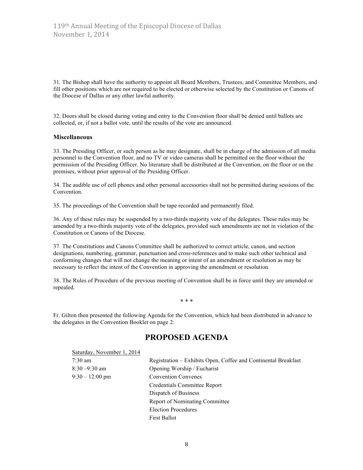31. The Bishop shall have the authority to appoint all Board Members, Trustees, and Committee Members, and fill other positions which are not required to be elected or otherwise selected by the Constitution or Canons of the Diocese of Dallas or any other lawful authority.

32. Doors shall be closed during voting and entry to the Convention floor shall be denied until ballots are collected, or, if not a ballot vote, until the results of the vote are announced.

## **Miscellaneous**

33. The Presiding Officer, or such person as he may designate, shall be in charge of the admission of all media personnel to the Convention floor, and no TV or video cameras shall be permitted on the floor without the permission of the Presiding Officer. No literature shall be distributed at the Convention, on the floor or on the premises, without prior approval of the Presiding Officer.

34. The audible use of cell phones and other personal accessories shall not be permitted during sessions of the Convention.

35. The proceedings of the Convention shall be tape recorded and permanently filed.

36. Any of these rules may be suspended by a two-thirds majority vote of the delegates. These rules may be amended by a two-thirds majority vote of the delegates, provided such amendments are not in violation of the Constitution or Canons of the Diocese.

37. The Constitutions and Canons Committee shall be authorized to correct article, canon, and section designations, numbering, grammar, punctuation and cross-references and to make such other technical and conforming changes that will not change the meaning or intent of an amendment or resolution as may be necessary to reflect the intent of the Convention in approving the amendment or resolution.

38. The Rules of Procedure of the previous meeting of Convention shall be in force until they are amended or repealed.

\* \* \*

Fr. Gilton then presented the following Agenda for the Convention, which had been distributed in advance to the delegates in the Convention Booklet on page 2:

# **PROPOSED AGENDA**

| Saturday, November 1, 2014 |                                                                |
|----------------------------|----------------------------------------------------------------|
| $7:30$ am                  | Registration – Exhibits Open, Coffee and Continental Breakfast |
| $8:30 - 9:30$ am           | Opening Worship / Eucharist                                    |
| $9:30 - 12:00$ pm          | <b>Convention Convenes</b>                                     |
|                            | Credentials Committee Report                                   |
|                            | Dispatch of Business                                           |
|                            | <b>Report of Nominating Committee</b>                          |
|                            | <b>Election Procedures</b>                                     |
|                            | <b>First Ballot</b>                                            |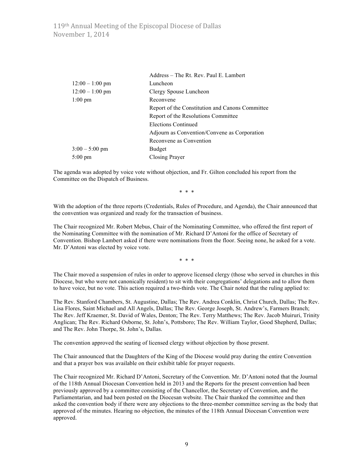119th Annual Meeting of the Episcopal Diocese of Dallas November 1, 2014

|                   | Address - The Rt. Rev. Paul E. Lambert          |
|-------------------|-------------------------------------------------|
| $12:00 - 1:00$ pm | Luncheon                                        |
| $12:00 - 1:00$ pm | Clergy Spouse Luncheon                          |
| $1:00 \text{ pm}$ | Reconvene                                       |
|                   | Report of the Constitution and Canons Committee |
|                   | Report of the Resolutions Committee             |
|                   | <b>Elections Continued</b>                      |
|                   | Adjourn as Convention/Convene as Corporation    |
|                   | Reconvene as Convention                         |
| $3:00 - 5:00$ pm  | <b>Budget</b>                                   |
| $5:00 \text{ pm}$ | Closing Prayer                                  |

The agenda was adopted by voice vote without objection, and Fr. Gilton concluded his report from the Committee on the Dispatch of Business.

\* \* \*

With the adoption of the three reports (Credentials, Rules of Procedure, and Agenda), the Chair announced that the convention was organized and ready for the transaction of business.

The Chair recognized Mr. Robert Mebus, Chair of the Nominating Committee, who offered the first report of the Nominating Committee with the nomination of Mr. Richard D'Antoni for the office of Secretary of Convention. Bishop Lambert asked if there were nominations from the floor. Seeing none, he asked for a vote. Mr. D'Antoni was elected by voice vote.

\* \* \*

The Chair moved a suspension of rules in order to approve licensed clergy (those who served in churches in this Diocese, but who were not canonically resident) to sit with their congregations' delegations and to allow them to have voice, but no vote. This action required a two-thirds vote. The Chair noted that the ruling applied to:

The Rev. Stanford Chambers, St. Augustine, Dallas; The Rev. Andrea Conklin, Christ Church, Dallas; The Rev. Lisa Flores, Saint Michael and All Angels, Dallas; The Rev. George Joseph, St. Andrew's, Farmers Branch; The Rev. Jeff Kraemer, St. David of Wales, Denton; The Rev. Terry Matthews; The Rev. Jacob Muiruri, Trinity Anglican; The Rev. Richard Osborne, St. John's, Pottsboro; The Rev. William Taylor, Good Shepherd, Dallas; and The Rev. John Thorpe, St. John's, Dallas.

The convention approved the seating of licensed clergy without objection by those present.

The Chair announced that the Daughters of the King of the Diocese would pray during the entire Convention and that a prayer box was available on their exhibit table for prayer requests.

The Chair recognized Mr. Richard D'Antoni, Secretary of the Convention. Mr. D'Antoni noted that the Journal of the 118th Annual Diocesan Convention held in 2013 and the Reports for the present convention had been previously approved by a committee consisting of the Chancellor, the Secretary of Convention, and the Parliamentarian, and had been posted on the Diocesan website. The Chair thanked the committee and then asked the convention body if there were any objections to the three-member committee serving as the body that approved of the minutes. Hearing no objection, the minutes of the 118th Annual Diocesan Convention were approved.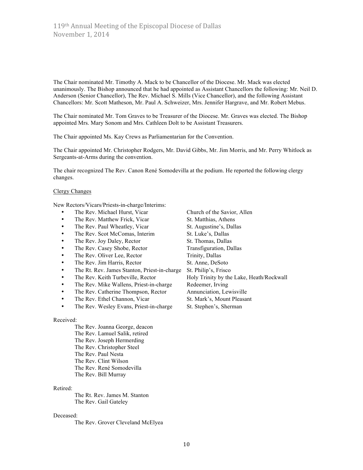The Chair nominated Mr. Timothy A. Mack to be Chancellor of the Diocese. Mr. Mack was elected unanimously. The Bishop announced that he had appointed as Assistant Chancellors the following: Mr. Neil D. Anderson (Senior Chancellor), The Rev. Michael S. Mills (Vice Chancellor), and the following Assistant Chancellors: Mr. Scott Matheson, Mr. Paul A. Schweizer, Mrs. Jennifer Hargrave, and Mr. Robert Mebus.

The Chair nominated Mr. Tom Graves to be Treasurer of the Diocese. Mr. Graves was elected. The Bishop appointed Mrs. Mary Sonom and Mrs. Cathleen Dolt to be Assistant Treasurers.

The Chair appointed Ms. Kay Crews as Parliamentarian for the Convention.

The Chair appointed Mr. Christopher Rodgers, Mr. David Gibbs, Mr. Jim Morris, and Mr. Perry Whitlock as Sergeants-at-Arms during the convention.

The chair recognized The Rev. Canon René Somodevilla at the podium. He reported the following clergy changes.

#### Clergy Changes

New Rectors/Vicars/Priests-in-charge/Interims:

- 
- The Rev. Matthew Frick, Vicar St. Matthias, Athens
- The Rev. Paul Wheatley, Vicar St. Augustine's, Dallas
- The Rev. Scot McComas, Interim St. Luke's, Dallas
- 
- The Rev. Casey Shobe, Rector
- The Rev. Oliver Lee, Rector Trinity, Dallas
- The Rev. Jim Harris, Rector St. Anne, DeSoto
- The Rt. Rev. James Stanton, Priest-in-charge St. Philip's, Frisco
- 
- The Rev. Mike Wallens, Priest-in-charge Redeemer, Irving
- The Rev. Catherine Thompson, Rector Annunciation, Lewisville
- The Rev. Ethel Channon, Vicar St. Mark's, Mount Pleasant
- The Rev. Wesley Evans, Priest-in-charge St. Stephen's, Sherman

#### Received:

The Rev. Joanna George, deacon The Rev. Lamuel Salik, retired The Rev. Joseph Hermerding The Rev. Christopher Steel The Rev. Paul Nesta The Rev. Clint Wilson The Rev. René Somodevilla The Rev. Bill Murray

#### Retired:

The Rt. Rev. James M. Stanton The Rev. Gail Gateley

#### Deceased:

The Rev. Grover Cleveland McElyea

• The Rev. Michael Hurst, Vicar Church of the Savior, Allen • The Rev. Joy Daley, Rector St. Thomas, Dallas<br>• The Rev. Casey Shobe, Rector Transfiguration, Dallas The Rev. Keith Turbeville, Rector Holy Trinity by the Lake, Heath/Rockwall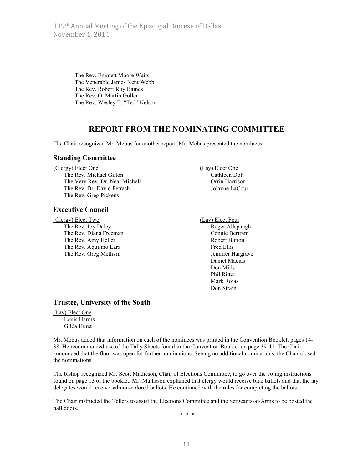119th Annual Meeting of the Episcopal Diocese of Dallas November 1, 2014

> The Rev. Emmett Moore Waits The Venerable James Kent Webb The Rev. Robert Roy Baines The Rev. O. Martin Goller The Rev. Wesley T. "Ted" Nelson

# **REPORT FROM THE NOMINATING COMMITTEE**

The Chair recognized Mr. Mebus for another report. Mr. Mebus presented the nominees.

#### **Standing Committee**

(Clergy) Elect One (Lay) Elect One The Rev. Michael Gilton Cathleen Dolt The Very Rev. Dr. Neal Michell **Orrin** Harrison The Rev. Dr. David Petrash Jolayne LaCour The Rev. Greg Pickens

## **Executive Council**

(Clergy) Elect Two (Lay) Elect Four The Rev. Joy Daley **Roger Allspaugh** The Rev. Diana Freeman Connie Bertram The Rev. Amy Heller Robert Button The Rev. Aquilino Lara Fred Ellis The Rev. Greg Methvin Jennifer Hargrave

Daniel Macias Don Mills Phil Ritter Mark Rojas Don Strain

#### **Trustee, University of the South**

## (Lay) Elect One

Louis Harms Gilda Hurst

Mr. Mebus added that information on each of the nominees was printed in the Convention Booklet, pages 14- 38. He recommended use of the Tally Sheets found in the Convention Booklet on page 39-41. The Chair announced that the floor was open for further nominations. Seeing no additional nominations, the Chair closed the nominations.

The bishop recognized Mr. Scott Matheson, Chair of Elections Committee, to go over the voting instructions found on page 13 of the booklet. Mr. Matheson explained that clergy would receive blue ballots and that the lay delegates would receive salmon-colored ballots. He continued with the rules for completing the ballots.

The Chair instructed the Tellers to assist the Elections Committee and the Sergeants-at-Arms to be posted the hall doors.

\* \* \*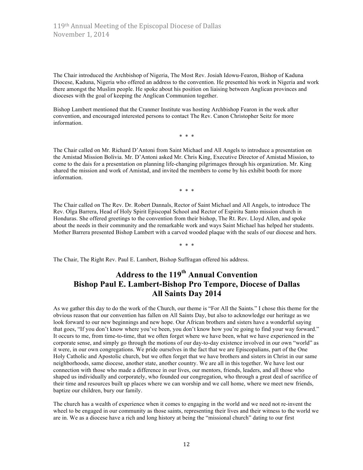The Chair introduced the Archbishop of Nigeria, The Most Rev. Josiah Idowu-Fearon, Bishop of Kaduna Diocese, Kaduna, Nigeria who offered an address to the convention. He presented his work in Nigeria and work there amongst the Muslim people. He spoke about his position on liaising between Anglican provinces and dioceses with the goal of keeping the Anglican Communion together.

Bishop Lambert mentioned that the Cranmer Institute was hosting Archbishop Fearon in the week after convention, and encouraged interested persons to contact The Rev. Canon Christopher Seitz for more information.

\* \* \*

The Chair called on Mr. Richard D'Antoni from Saint Michael and All Angels to introduce a presentation on the Amistad Mission Bolivia. Mr. D'Antoni asked Mr. Chris King, Executive Director of Amistad Mission, to come to the dais for a presentation on planning life-changing pilgrimages through his organization. Mr. King shared the mission and work of Amistad, and invited the members to come by his exhibit booth for more information.

\* \* \*

The Chair called on The Rev. Dr. Robert Dannals, Rector of Saint Michael and All Angels, to introduce The Rev. Olga Barrera, Head of Holy Spirit Episcopal School and Rector of Espiritu Santo mission church in Honduras. She offered greetings to the convention from their bishop, The Rt. Rev. Lloyd Allen, and spoke about the needs in their community and the remarkable work and ways Saint Michael has helped her students. Mother Barrera presented Bishop Lambert with a carved wooded plaque with the seals of our diocese and hers.

\* \* \*

The Chair, The Right Rev. Paul E. Lambert, Bishop Suffragan offered his address.

# **Address to the 119th Annual Convention Bishop Paul E. Lambert-Bishop Pro Tempore, Diocese of Dallas All Saints Day 2014**

As we gather this day to do the work of the Church, our theme is "For All the Saints." I chose this theme for the obvious reason that our convention has fallen on All Saints Day, but also to acknowledge our heritage as we look forward to our new beginnings and new hope. Our African brothers and sisters have a wonderful saying that goes, "If you don't know where you've been, you don't know how you're going to find your way forward." It occurs to me, from time-to-time, that we often forget where we have been, what we have experienced in the corporate sense, and simply go through the motions of our day-to-day existence involved in our own "world" as it were, in our own congregations. We pride ourselves in the fact that we are Episcopalians, part of the One Holy Catholic and Apostolic church, but we often forget that we have brothers and sisters in Christ in our same neighborhoods, same diocese, another state, another country. We are all in this together. We have lost our connection with those who made a difference in our lives, our mentors, friends, leaders, and all those who shaped us individually and corporately, who founded our congregation, who through a great deal of sacrifice of their time and resources built up places where we can worship and we call home, where we meet new friends, baptize our children, bury our family.

The church has a wealth of experience when it comes to engaging in the world and we need not re-invent the wheel to be engaged in our community as those saints, representing their lives and their witness to the world we are in. We as a diocese have a rich and long history at being the "missional church" dating to our first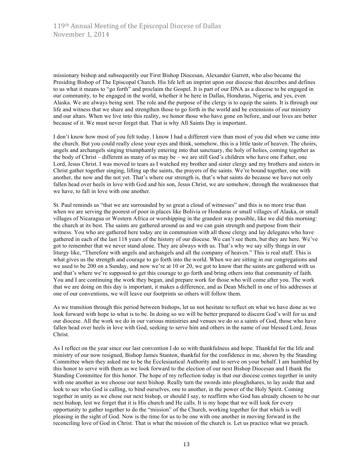missionary bishop and subsequently our First Bishop Diocesan, Alexander Garrett, who also became the Presiding Bishop of The Episcopal Church. His life left an imprint upon our diocese that describes and defines to us what it means to "go forth" and proclaim the Gospel. It is part of our DNA as a diocese to be engaged in our community, to be engaged in the world, whether it be here in Dallas, Honduras, Nigeria, and yes, even Alaska. We are always being sent. The role and the purpose of the clergy is to equip the saints. It is through our life and witness that we share and strengthen those to go forth in the world and be extensions of our ministry and our altars. When we live into this reality, we honor those who have gone on before, and our lives are better because of it. We must never forget that. That is why All Saints Day is important.

I don't know how most of you felt today. I know I had a different view than most of you did when we came into the church. But you could really close your eyes and think, somehow, this is a little taste of heaven. The choirs, angels and archangels singing triumphantly entering into that sanctuary, the holy of holies, coming together as the body of Christ – different as many of us may be – we are still God's children who have one Father, one Lord, Jesus Christ. I was moved to tears as I watched my brother and sister clergy and my brothers and sisters in Christ gather together singing, lifting up the saints, the prayers of the saints. We're bound together, one with another, the now and the not yet. That's where our strength is, that's what saints do because we have not only fallen head over heels in love with God and his son, Jesus Christ, we are somehow, through the weaknesses that we have, to fall in love with one another.

St. Paul reminds us "that we are surrounded by so great a cloud of witnesses" and this is no more true than when we are serving the poorest of poor in places like Bolivia or Honduras or small villages of Alaska, or small villages of Nicaragua or Western Africa or worshipping in the grandest way possible, like we did this morning: the church at its best. The saints are gathered around us and we can gain strength and purpose from their witness. You who are gathered here today are in communion with all those clergy and lay delegates who have gathered in each of the last 118 years of the history of our diocese. We can't see them, but they are here. We've got to remember that we never stand alone. They are always with us. That's why we say silly things in our liturgy like, "Therefore with angels and archangels and all the company of heaven." This is real stuff. This is what gives us the strength and courage to go forth into the world. When we are sitting in our congregations and we used to be 200 on a Sunday, and now we're at 10 or 20, we got to know that the saints are gathered with us and that's where we're supposed to get this courage to go forth and bring others into that community of faith. You and I are continuing the work they began, and prepare work for those who will come after you. The work that we are doing on this day is important, it makes a difference, and as Dean Michell in one of his addresses at one of our conventions, we will leave our footprints so others will follow them.

As we transition through this period between bishops, let us not hesitate to reflect on what we have done as we look forward with hope to what is to be. In doing so we will be better prepared to discern God's will for us and our diocese. All the work we do in our various ministries and venues we do so a saints of God, those who have fallen head over heels in love with God, seeking to serve him and others in the name of our blessed Lord, Jesus Christ.

As I reflect on the year since our last convention I do so with thankfulness and hope. Thankful for the life and ministry of our now resigned, Bishop James Stanton, thankful for the confidence in me, shown by the Standing Committee when they asked me to be the Ecclesiastical Authority and to serve on your behalf. I am humbled by this honor to serve with them as we look forward to the election of our next Bishop Diocesan and I thank the Standing Committee for this honor. The hope of my reflection today is that our diocese comes together in unity with one another as we choose our next bishop. Really turn the swords into ploughshares, to lay aside that and look to see who God is calling, to bind ourselves, one to another, in the power of the Holy Spirit. Coming together in unity as we chose our next bishop, or should I say, to reaffirm who God has already chosen to be our next bishop, lest we forget that it is His church and He calls. It is my hope that we will look for every opportunity to gather together to do the "mission" of the Church, working together for that which is well pleasing in the sight of God. Now is the time for us to be one with one another in moving forward in the reconciling love of God in Christ. That is what the mission of the church is. Let us practice what we preach.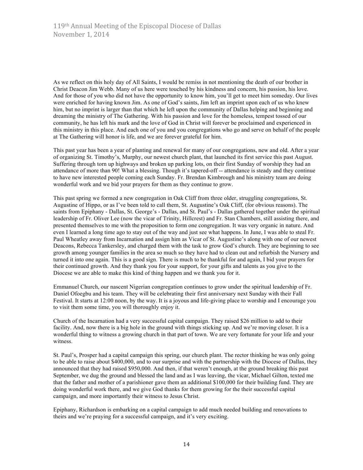As we reflect on this holy day of All Saints, I would be remiss in not mentioning the death of our brother in Christ Deacon Jim Webb. Many of us here were touched by his kindness and concern, his passion, his love. And for those of you who did not have the opportunity to know him, you'll get to meet him someday. Our lives were enriched for having known Jim. As one of God's saints, Jim left an imprint upon each of us who knew him, but no imprint is larger than that which he left upon the community of Dallas helping and beginning and dreaming the ministry of The Gathering. With his passion and love for the homeless, tempest tossed of our community, he has left his mark and the love of God in Christ will forever be proclaimed and experienced in this ministry in this place. And each one of you and you congregations who go and serve on behalf of the people at The Gathering will honor is life, and we are forever grateful for him.

This past year has been a year of planting and renewal for many of our congregations, new and old. After a year of organizing St. Timothy's, Murphy, our newest church plant, that launched its first service this past August. Suffering through torn up highways and broken up parking lots, on their first Sunday of worship they had an attendance of more than 90! What a blessing. Though it's tapered-off -- attendance is steady and they continue to have new interested people coming each Sunday. Fr. Brendan Kimbrough and his ministry team are doing wonderful work and we bid your prayers for them as they continue to grow.

This past spring we formed a new congregation in Oak Cliff from three older, struggling congregations, St. Augustine of Hippo, or as I've been told to call them, St. Augustine's Oak Cliff, (for obvious reasons). The saints from Epiphany - Dallas, St. George's - Dallas, and St. Paul's - Dallas gathered together under the spiritual leadership of Fr. Oliver Lee (now the vicar of Trinity, Hillcrest) and Fr. Stan Chambers, still assisting there, and presented themselves to me with the proposition to form one congregation. It was very organic in nature. And even I learned a long time ago to stay out of the way and just see what happens. In June, I was able to steal Fr. Paul Wheatley away from Incarnation and assign him as Vicar of St. Augustine's along with one of our newest Deacons, Rebecca Tankersley, and charged them with the task to grow God's church. They are beginning to see growth among younger families in the area so much so they have had to clean out and refurbish the Nursery and turned it into one again. This is a good sign. There is much to be thankful for and again, I bid your prayers for their continued growth. And they thank you for your support, for your gifts and talents as you give to the Diocese we are able to make this kind of thing happen and we thank you for it.

Emmanuel Church, our nascent Nigerian congregation continues to grow under the spiritual leadership of Fr. Daniel Ofoegbu and his team. They will be celebrating their first anniversary next Sunday with their Fall Festival. It starts at 12:00 noon, by the way. It is a joyous and life-giving place to worship and I encourage you to visit them some time, you will thoroughly enjoy it.

Church of the Incarnation had a very successful capital campaign. They raised \$26 million to add to their facility. And, now there is a big hole in the ground with things sticking up. And we're moving closer. It is a wonderful thing to witness a growing church in that part of town. We are very fortunate for your life and your witness.

St. Paul's, Prosper had a capital campaign this spring, our church plant. The rector thinking he was only going to be able to raise about \$400,000, and to our surprise and with the partnership with the Diocese of Dallas, they announced that they had raised \$950,000. And then, if that weren't enough, at the ground breaking this past September, we dug the ground and blessed the land and as I was leaving, the vicar, Michael Gilton, texted me that the father and mother of a parishioner gave them an additional \$100,000 for their building fund. They are doing wonderful work there, and we give God thanks for them growing for the their successful capital campaign, and more importantly their witness to Jesus Christ.

Epiphany, Richardson is embarking on a capital campaign to add much needed building and renovations to theirs and we're praying for a successful campaign, and it's very exciting.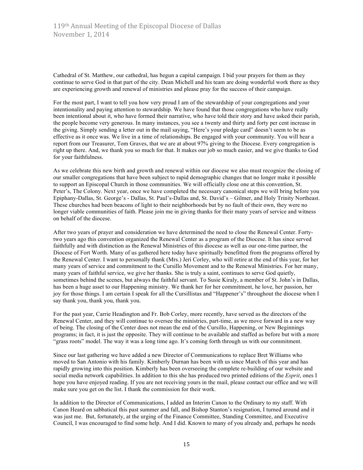Cathedral of St. Matthew, our cathedral, has begun a capital campaign. I bid your prayers for them as they continue to serve God in that part of the city. Dean Michell and his team are doing wonderful work there as they are experiencing growth and renewal of ministries and please pray for the success of their campaign.

For the most part, I want to tell you how very proud I am of the stewardship of your congregations and your intentionality and paying attention to stewardship. We have found that those congregations who have really been intentional about it, who have formed their narrative, who have told their story and have asked their parish, the people become very generous. In many instances, you see a twenty and thirty and forty per cent increase in the giving. Simply sending a letter out in the mail saying, "Here's your pledge card" doesn't seem to be as effective as it once was. We live in a time of relationships. Be engaged with your community. You will hear a report from our Treasurer, Tom Graves, that we are at about 97% giving to the Diocese. Every congregation is right up there. And, we thank you so much for that. It makes our job so much easier, and we give thanks to God for your faithfulness.

As we celebrate this new birth and growth and renewal within our diocese we also must recognize the closing of our smaller congregations that have been subject to rapid demographic changes that no longer make it possible to support an Episcopal Church in those communities. We will officially close one at this convention, St. Peter's, The Colony. Next year, once we have completed the necessary canonical steps we will bring before you Epiphany-Dallas, St. George's - Dallas, St. Paul's-Dallas and, St. David's – Gilmer, and Holy Trinity Northeast. These churches had been beacons of light to their neighborhoods but by no fault of their own, they were no longer viable communities of faith. Please join me in giving thanks for their many years of service and witness on behalf of the diocese.

After two years of prayer and consideration we have determined the need to close the Renewal Center. Fortytwo years ago this convention organized the Renewal Center as a program of the Diocese. It has since served faithfully and with distinction as the Renewal Ministries of this diocese as well as our one-time partner, the Diocese of Fort Worth. Many of us gathered here today have spiritually benefitted from the programs offered by the Renewal Center. I want to personally thank (Mrs.) Jeri Corley, who will retire at the end of this year, for her many years of service and commitment to the Cursillo Movement and to the Renewal Ministries. For her many, many years of faithful service, we give her thanks. She is truly a saint, continues to serve God quietly, sometimes behind the scenes, but always the faithful servant. To Susie Kiraly, a member of St. John's in Dallas, has been a huge asset to our Happening ministry. We thank her for her commitment, he love, her passion, her joy for those things. I am certain I speak for all the Cursillistas and "Happener's" throughout the diocese when I say thank you, thank you, thank you.

For the past year, Carrie Headington and Fr. Bob Corley, more recently, have served as the directors of the Renewal Center, and they will continue to oversee the ministries, part-time, as we move forward in a new way of being. The closing of the Center does not mean the end of the Cursillo, Happening, or New Beginnings programs; in fact, it is just the opposite. They will continue to be available and staffed as before but with a more "grass roots" model. The way it was a long time ago. It's coming forth through us with our commitment.

Since our last gathering we have added a new Director of Communications to replace Bret Williams who moved to San Antonio with his family. Kimberly Durnan has been with us since March of this year and has rapidly growing into this position. Kimberly has been overseeing the complete re-building of our website and social media network capabilities. In addition to this she has produced two printed editions of the *Esprit*, ones I hope you have enjoyed reading. If you are not receiving yours in the mail, please contact our office and we will make sure you get on the list. I thank the commission for their work.

In addition to the Director of Communications, I added an Interim Canon to the Ordinary to my staff. With Canon Heard on sabbatical this past summer and fall, and Bishop Stanton's resignation, I turned around and it was just me. But, fortunately, at the urging of the Finance Committee, Standing Committee, and Executive Council, I was encouraged to find some help. And I did. Known to many of you already and, perhaps he needs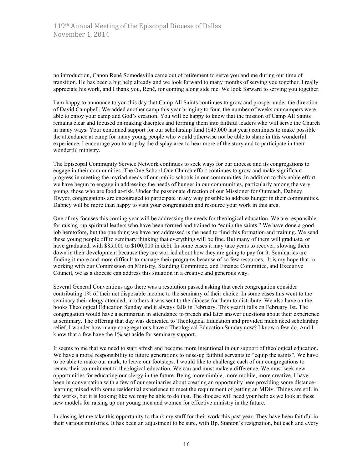no introduction, Canon René Somodevilla came out of retirement to serve you and me during our time of transition. He has been a big help already and we look forward to many months of serving you together. I really appreciate his work, and I thank you, René, for coming along side me. We look forward to serving you together.

I am happy to announce to you this day that Camp All Saints continues to grow and prosper under the direction of David Campbell. We added another camp this year bringing to four, the number of weeks our campers were able to enjoy your camp and God's creation. You will be happy to know that the mission of Camp All Saints remains clear and focused on making disciples and forming them into faithful leaders who will serve the Church in many ways. Your continued support for our scholarship fund (\$45,000 last year) continues to make possible the attendance at camp for many young people who would otherwise not be able to share in this wonderful experience. I encourage you to stop by the display area to hear more of the story and to participate in their wonderful ministry.

The Episcopal Community Service Network continues to seek ways for our diocese and its congregations to engage in their communities. The One School One Church effort continues to grow and make significant progress in meeting the myriad needs of our public schools in our communities. In addition to this noble effort we have begun to engage in addressing the needs of hunger in our communities, particularly among the very young, those who are food at-risk. Under the passionate direction of our Missioner for Outreach, Dabney Dwyer, congregations are encouraged to participate in any way possible to address hunger in their communities. Dabney will be more than happy to visit your congregation and resource your work in this area.

One of my focuses this coming year will be addressing the needs for theological education. We are responsible for raising -up spiritual leaders who have been formed and trained to "equip the saints." We have done a good job heretofore, but the one thing we have not addressed is the need to fund this formation and training. We send these young people off to seminary thinking that everything will be fine. But many of them will graduate, or have graduated, with \$85,000 to \$100,000 in debt. In some cases it may take years to recover, slowing them down in their development because they are worried about how they are going to pay for it. Seminaries are finding it more and more difficult to manage their programs because of so few resources. It is my hope that in working with our Commission on Ministry, Standing Committee, and Finance Committee, and Executive Council, we as a diocese can address this situation in a creative and generous way.

Several General Conventions ago there was a resolution passed asking that each congregation consider contributing 1% of their net disposable income to the seminary of their choice. In some cases this went to the seminary their clergy attended, in others it was sent to the diocese for them to distribute. We also have on the books Theological Education Sunday and it always falls in February. This year it falls on February 1st. The congregation would have a seminarian in attendance to preach and later answer questions about their experience at seminary. The offering that day was dedicated to Theological Education and provided much need scholarship relief. I wonder how many congregations have a Theological Education Sunday now? I know a few do. And I know that a few have the 1% set aside for seminary support.

It seems to me that we need to start afresh and become more intentional in our support of theological education. We have a moral responsibility to future generations to raise-up faithful servants to "equip the saints". We have to be able to make our mark, to leave our footsteps. I would like to challenge each of our congregations to renew their commitment to theological education. We can and must make a difference. We must seek new opportunities for educating our clergy in the future. Being more nimble, more mobile, more creative. I have been in conversation with a few of our seminaries about creating an opportunity here providing some distancelearning mixed with some residential experience to meet the requirement of getting an MDiv. Things are still in the works, but it is looking like we may be able to do that. The diocese will need your help as we look at these new models for raising up our young men and women for effective ministry in the future.

In closing let me take this opportunity to thank my staff for their work this past year. They have been faithful in their various ministries. It has been an adjustment to be sure, with Bp. Stanton's resignation, but each and every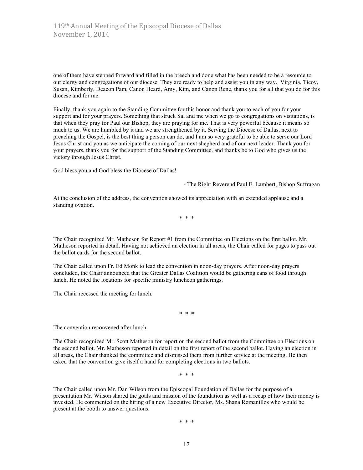one of them have stepped forward and filled in the breech and done what has been needed to be a resource to our clergy and congregations of our diocese. They are ready to help and assist you in any way. Virginia, Ticoy, Susan, Kimberly, Deacon Pam, Canon Heard, Amy, Kim, and Canon Rene, thank you for all that you do for this diocese and for me.

Finally, thank you again to the Standing Committee for this honor and thank you to each of you for your support and for your prayers. Something that struck Sal and me when we go to congregations on visitations, is that when they pray for Paul our Bishop, they are praying for me. That is very powerful because it means so much to us. We are humbled by it and we are strengthened by it. Serving the Diocese of Dallas, next to preaching the Gospel, is the best thing a person can do, and I am so very grateful to be able to serve our Lord Jesus Christ and you as we anticipate the coming of our next shepherd and of our next leader. Thank you for your prayers, thank you for the support of the Standing Committee. and thanks be to God who gives us the victory through Jesus Christ.

God bless you and God bless the Diocese of Dallas!

- The Right Reverend Paul E. Lambert, Bishop Suffragan

At the conclusion of the address, the convention showed its appreciation with an extended applause and a standing ovation.

\* \* \*

The Chair recognized Mr. Matheson for Report #1 from the Committee on Elections on the first ballot. Mr. Matheson reported in detail. Having not achieved an election in all areas, the Chair called for pages to pass out the ballot cards for the second ballot.

The Chair called upon Fr. Ed Monk to lead the convention in noon-day prayers. After noon-day prayers concluded, the Chair announced that the Greater Dallas Coalition would be gathering cans of food through lunch. He noted the locations for specific ministry luncheon gatherings.

The Chair recessed the meeting for lunch.

\* \* \*

The convention reconvened after lunch.

The Chair recognized Mr. Scott Matheson for report on the second ballot from the Committee on Elections on the second ballot. Mr. Matheson reported in detail on the first report of the second ballot. Having an election in all areas, the Chair thanked the committee and dismissed them from further service at the meeting. He then asked that the convention give itself a hand for completing elections in two ballots.

\* \* \*

The Chair called upon Mr. Dan Wilson from the Episcopal Foundation of Dallas for the purpose of a presentation Mr. Wilson shared the goals and mission of the foundation as well as a recap of how their money is invested. He commented on the hiring of a new Executive Director, Ms. Shana Romanillos who would be present at the booth to answer questions.

\* \* \*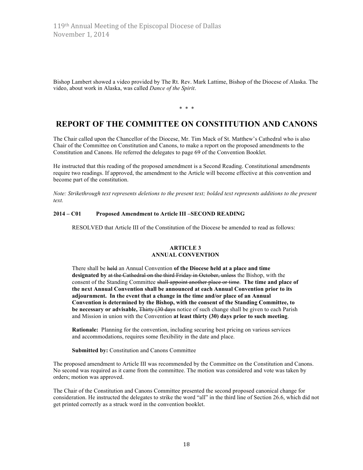Bishop Lambert showed a video provided by The Rt. Rev. Mark Lattime, Bishop of the Diocese of Alaska. The video, about work in Alaska, was called *Dance of the Spirit*.

\* \* \*

# **REPORT OF THE COMMITTEE ON CONSTITUTION AND CANONS**

The Chair called upon the Chancellor of the Diocese, Mr. Tim Mack of St. Matthew's Cathedral who is also Chair of the Committee on Constitution and Canons, to make a report on the proposed amendments to the Constitution and Canons. He referred the delegates to page 69 of the Convention Booklet.

He instructed that this reading of the proposed amendment is a Second Reading. Constitutional amendments require two readings. If approved, the amendment to the Article will become effective at this convention and become part of the constitution.

*Note: Strikethrough text represents deletions to the present text; bolded text represents additions to the present text.*

## **2014 – C01 Proposed Amendment to Article III –SECOND READING**

RESOLVED that Article III of the Constitution of the Diocese be amended to read as follows:

#### **ARTICLE 3 ANNUAL CONVENTION**

There shall be held an Annual Convention **of the Diocese held at a place and time designated by** at the Cathedral on the third Friday in October, unless the Bishop, with the consent of the Standing Committee shall appoint another place or time. **The time and place of the next Annual Convention shall be announced at each Annual Convention prior to its adjournment. In the event that a change in the time and/or place of an Annual Convention is determined by the Bishop, with the consent of the Standing Committee, to be necessary or advisable,** Thirty (30 days notice of such change shall be given to each Parish and Mission in union with the Convention **at least thirty (30) days prior to such meeting**.

**Rationale:** Planning for the convention, including securing best pricing on various services and accommodations, requires some flexibility in the date and place.

**Submitted by:** Constitution and Canons Committee

The proposed amendment to Article III was recommended by the Committee on the Constitution and Canons. No second was required as it came from the committee. The motion was considered and vote was taken by orders; motion was approved.

The Chair of the Constitution and Canons Committee presented the second proposed canonical change for consideration. He instructed the delegates to strike the word "all" in the third line of Section 26.6, which did not get printed correctly as a struck word in the convention booklet.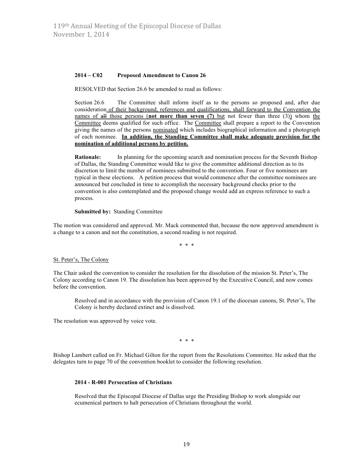#### **2014 – C02 Proposed Amendment to Canon 26**

RESOLVED that Section 26.6 be amended to read as follows:

Section 26.6 The Committee shall inform itself as to the persons so proposed and, after due consideration of their background, references and qualifications, shall forward to the Convention the names of all those persons (not more than seven (7) but not fewer than three (3)) whom the Committee deems qualified for such office. The Committee shall prepare a report to the Convention giving the names of the persons nominated which includes biographical information and a photograph of each nominee. **In addition, the Standing Committee shall make adequate provision for the nomination of additional persons by petition.**

**Rationale:** In planning for the upcoming search and nomination process for the Seventh Bishop of Dallas, the Standing Committee would like to give the committee additional direction as to its discretion to limit the number of nominees submitted to the convention. Four or five nominees are typical in these elections. A petition process that would commence after the committee nominees are announced but concluded in time to accomplish the necessary background checks prior to the convention is also contemplated and the proposed change would add an express reference to such a process.

**Submitted by:** Standing Committee

The motion was considered and approved. Mr. Mack commented that, because the now approved amendment is a change to a canon and not the constitution, a second reading is not required.

\* \* \*

#### St. Peter's, The Colony

The Chair asked the convention to consider the resolution for the dissolution of the mission St. Peter's, The Colony according to Canon 19. The dissolution has been approved by the Executive Council, and now comes before the convention.

Resolved and in accordance with the provision of Canon 19.1 of the diocesan canons, St. Peter's, The Colony is hereby declared extinct and is dissolved.

The resolution was approved by voice vote.

\* \* \*

Bishop Lambert called on Fr. Michael Gilton for the report from the Resolutions Committee. He asked that the delegates turn to page 70 of the convention booklet to consider the following resolution.

#### **2014 - R-001 Persecution of Christians**

Resolved that the Episcopal Diocese of Dallas urge the Presiding Bishop to work alongside our ecumenical partners to halt persecution of Christians throughout the world.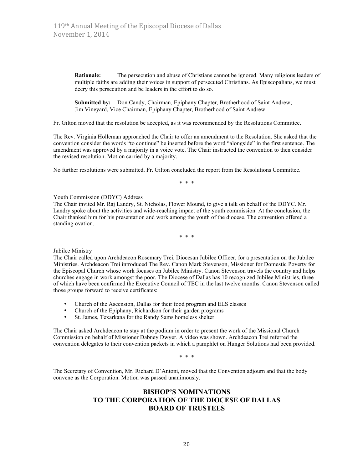**Rationale:** The persecution and abuse of Christians cannot be ignored. Many religious leaders of multiple faiths are adding their voices in support of persecuted Christians. As Episcopalians, we must decry this persecution and be leaders in the effort to do so.

**Submitted by:** Don Candy, Chairman, Epiphany Chapter, Brotherhood of Saint Andrew; Jim Vineyard, Vice Chairman, Epiphany Chapter, Brotherhood of Saint Andrew

Fr. Gilton moved that the resolution be accepted, as it was recommended by the Resolutions Committee.

The Rev. Virginia Holleman approached the Chair to offer an amendment to the Resolution. She asked that the convention consider the words "to continue" be inserted before the word "alongside" in the first sentence. The amendment was approved by a majority in a voice vote. The Chair instructed the convention to then consider the revised resolution. Motion carried by a majority.

No further resolutions were submitted. Fr. Gilton concluded the report from the Resolutions Committee.

\* \* \*

#### Youth Commission (DDYC) Address

The Chair invited Mr. Raj Landry, St. Nicholas, Flower Mound, to give a talk on behalf of the DDYC. Mr. Landry spoke about the activities and wide-reaching impact of the youth commission. At the conclusion, the Chair thanked him for his presentation and work among the youth of the diocese. The convention offered a standing ovation.

\* \* \*

#### Jubilee Ministry

The Chair called upon Archdeacon Rosemary Trei, Diocesan Jubilee Officer, for a presentation on the Jubilee Ministries. Archdeacon Trei introduced The Rev. Canon Mark Stevenson, Missioner for Domestic Poverty for the Episcopal Church whose work focuses on Jubilee Ministry. Canon Stevenson travels the country and helps churches engage in work amongst the poor. The Diocese of Dallas has 10 recognized Jubilee Ministries, three of which have been confirmed the Executive Council of TEC in the last twelve months. Canon Stevenson called those groups forward to receive certificates:

- Church of the Ascension, Dallas for their food program and ELS classes<br>• Church of the Eninhany, Bichardson for their garden programs
- Church of the Epiphany, Richardson for their garden programs<br>• St James Texarkana for the Randy Sams homeless shelter
- St. James, Texarkana for the Randy Sams homeless shelter

The Chair asked Archdeacon to stay at the podium in order to present the work of the Missional Church Commission on behalf of Missioner Dabney Dwyer. A video was shown. Archdeacon Trei referred the convention delegates to their convention packets in which a pamphlet on Hunger Solutions had been provided.

\* \* \*

The Secretary of Convention, Mr. Richard D'Antoni, moved that the Convention adjourn and that the body convene as the Corporation. Motion was passed unanimously.

# **BISHOP'S NOMINATIONS TO THE CORPORATION OF THE DIOCESE OF DALLAS BOARD OF TRUSTEES**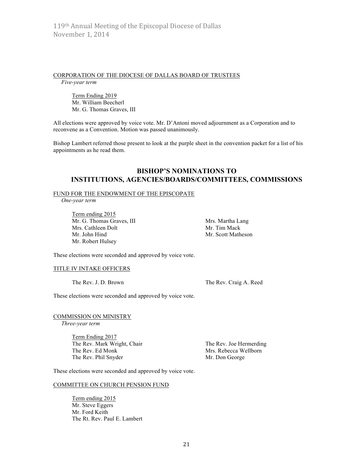#### CORPORATION OF THE DIOCESE OF DALLAS BOARD OF TRUSTEES

*Five-year term*

Term Ending 2019 Mr. William Beecherl Mr. G. Thomas Graves, III

All elections were approved by voice vote. Mr. D'Antoni moved adjournment as a Corporation and to reconvene as a Convention. Motion was passed unanimously.

Bishop Lambert referred those present to look at the purple sheet in the convention packet for a list of his appointments as he read them.

## **BISHOP'S NOMINATIONS TO INSTITUTIONS, AGENCIES/BOARDS/COMMITTEES, COMMISSIONS**

#### FUND FOR THE ENDOWMENT OF THE EPISCOPATE

*One-year term*

Term ending 2015 Mr. G. Thomas Graves, III Mrs. Martha Lang Mrs. Cathleen Dolt Mrs. Tim Mack Mr. John Hind Mr. Scott Matheson Mr. Robert Hulsey

These elections were seconded and approved by voice vote.

## TITLE IV INTAKE OFFICERS

The Rev. J. D. Brown The Rev. Craig A. Reed

These elections were seconded and approved by voice vote.

COMMISSION ON MINISTRY

*Three-year term*

Term Ending 2017 The Rev. Mark Wright, Chair The Rev. Joe Hermerding The Rev. Ed Monk Mrs. Rebecca Wellborn The Rev. Phil Snyder Mr. Don George

These elections were seconded and approved by voice vote.

#### COMMITTEE ON CHURCH PENSION FUND

Term ending 2015 Mr. Steve Eggers Mr. Ford Keith The Rt. Rev. Paul E. Lambert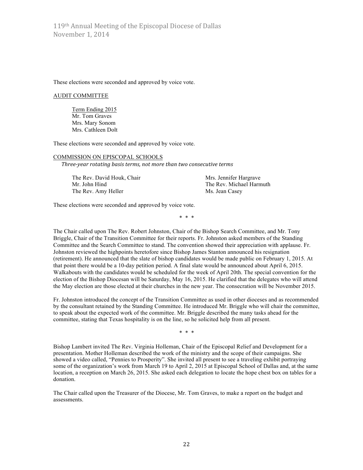These elections were seconded and approved by voice vote.

#### AUDIT COMMITTEE

Term Ending 2015 Mr. Tom Graves Mrs. Mary Sonom Mrs. Cathleen Dolt

These elections were seconded and approved by voice vote.

#### COMMISSION ON EPISCOPAL SCHOOLS

Three-year rotating basis terms, not more than two consecutive terms

The Rev. David Houk, Chair Mrs. Jennifer Hargrave Mr. John Hind The Rev. Michael Harmuth The Rev. Amy Heller Ms. Jean Casey

These elections were seconded and approved by voice vote.

\* \* \*

The Chair called upon The Rev. Robert Johnston, Chair of the Bishop Search Committee, and Mr. Tony Briggle, Chair of the Transition Committee for their reports. Fr. Johnston asked members of the Standing Committee and the Search Committee to stand. The convention showed their appreciation with applause. Fr. Johnston reviewed the highpoints heretofore since Bishop James Stanton announced his resignation (retirement). He announced that the slate of bishop candidates would be made public on February 1, 2015. At that point there would be a 10-day petition period. A final slate would be announced about April 6, 2015. Walkabouts with the candidates would be scheduled for the week of April 20th. The special convention for the election of the Bishop Diocesan will be Saturday, May 16, 2015. He clarified that the delegates who will attend the May election are those elected at their churches in the new year. The consecration will be November 2015.

Fr. Johnston introduced the concept of the Transition Committee as used in other dioceses and as recommended by the consultant retained by the Standing Committee. He introduced Mr. Briggle who will chair the committee, to speak about the expected work of the committee. Mr. Briggle described the many tasks ahead for the committee, stating that Texas hospitality is on the line, so he solicited help from all present.

\* \* \*

Bishop Lambert invited The Rev. Virginia Holleman, Chair of the Episcopal Relief and Development for a presentation. Mother Holleman described the work of the ministry and the scope of their campaigns. She showed a video called, "Pennies to Prosperity". She invited all present to see a traveling exhibit portraying some of the organization's work from March 19 to April 2, 2015 at Episcopal School of Dallas and, at the same location, a reception on March 26, 2015. She asked each delegation to locate the hope chest box on tables for a donation.

The Chair called upon the Treasurer of the Diocese, Mr. Tom Graves, to make a report on the budget and assessments.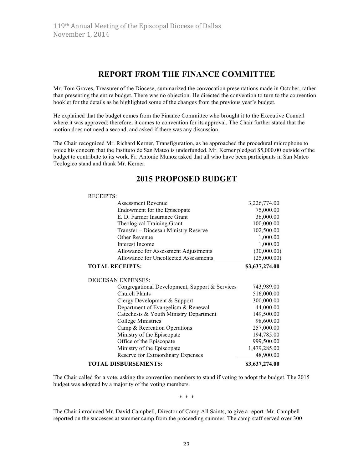RECEIPTS:

# **REPORT FROM THE FINANCE COMMITTEE**

Mr. Tom Graves, Treasurer of the Diocese, summarized the convocation presentations made in October, rather than presenting the entire budget. There was no objection. He directed the convention to turn to the convention booklet for the details as he highlighted some of the changes from the previous year's budget.

He explained that the budget comes from the Finance Committee who brought it to the Executive Council where it was approved; therefore, it comes to convention for its approval. The Chair further stated that the motion does not need a second, and asked if there was any discussion.

The Chair recognized Mr. Richard Kerner, Transfiguration, as he approached the procedural microphone to voice his concern that the Instituto de San Mateo is underfunded. Mr. Kerner pledged \$5,000.00 outside of the budget to contribute to its work. Fr. Antonio Munoz asked that all who have been participants in San Mateo Teologico stand and thank Mr. Kerner.

| <b>Assessment Revenue</b>                      | 3,226,774.00   |
|------------------------------------------------|----------------|
| Endowment for the Episcopate                   | 75,000.00      |
| E. D. Farmer Insurance Grant                   | 36,000.00      |
| Theological Training Grant                     | 100,000.00     |
| Transfer - Diocesan Ministry Reserve           | 102,500.00     |
| Other Revenue                                  | 1,000.00       |
| Interest Income                                | 1,000.00       |
| Allowance for Assessment Adjustments           | (30,000.00)    |
| Allowance for Uncollected Assessments          | (25,000.00)    |
| <b>TOTAL RECEIPTS:</b>                         | \$3,637,274.00 |
| <b>DIOCESAN EXPENSES:</b>                      |                |
| Congregational Development, Support & Services | 743,989.00     |
| Church Plants                                  | 516,000.00     |
| Clergy Development & Support                   | 300,000.00     |
| Department of Evangelism & Renewal             | 44,000.00      |
| Catechesis & Youth Ministry Department         | 149,500.00     |
| College Ministries                             | 98,600.00      |
| Camp & Recreation Operations                   | 257,000.00     |
| Ministry of the Episcopate                     | 194,785.00     |
| Office of the Episcopate                       | 999,500.00     |
| Ministry of the Episcopate                     | 1,479,285.00   |
| Reserve for Extraordinary Expenses             | 48,900.00      |
| <b>TOTAL DISBURSEMENTS:</b>                    | \$3,637,274.00 |

# **2015 PROPOSED BUDGET**

The Chair called for a vote, asking the convention members to stand if voting to adopt the budget. The 2015 budget was adopted by a majority of the voting members.

\* \* \*

The Chair introduced Mr. David Campbell, Director of Camp All Saints, to give a report. Mr. Campbell reported on the successes at summer camp from the proceeding summer. The camp staff served over 300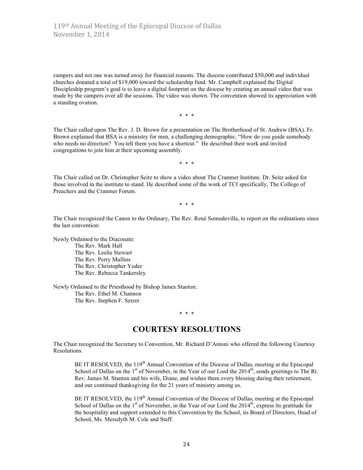campers and not one was turned away for financial reasons. The diocese contributed \$50,000 and individual churches donated a total of \$19,000 toward the scholarship fund. Mr. Campbell explained the Digital Discipleship program's goal is to leave a digital footprint on the diocese by creating an annual video that was made by the campers over all the sessions. The video was shown. The convention showed its appreciation with a standing ovation.

\* \* \*

The Chair called upon The Rev. J. D. Brown for a presentation on The Brotherhood of St. Andrew (BSA). Fr. Brown explained that BSA is a ministry for men, a challenging demographic. "How do you guide somebody who needs no direction? You tell them you have a shortcut." He described their work and invited congregations to join him at their upcoming assembly.

\* \* \*

The Chair called on Dr. Christopher Seitz to show a video about The Cranmer Institute. Dr. Seitz asked for those involved in the institute to stand. He described some of the work of TCI specifically, The College of Preachers and the Cranmer Forum.

\* \* \*

The Chair recognized the Canon to the Ordinary, The Rev. René Somodevilla, to report on the ordinations since the last convention:

Newly Ordained to the Diaconate: The Rev. Mark Hall The Rev. Leslie Stewart The Rev. Perry Mullins The Rev. Christopher Yoder The Rev. Rebecca Tankersley

Newly Ordained to the Priesthood by Bishop James Stanton: The Rev. Ethel M. Channon The Rev. Stephen F. Setzer

#### \* \* \*

# **COURTESY RESOLUTIONS**

The Chair recognized the Secretary to Convention, Mr. Richard D'Antoni who offered the following Courtesy Resolutions.

BE IT RESOLVED, the 119<sup>th</sup> Annual Convention of the Diocese of Dallas, meeting at the Episcopal School of Dallas on the 1<sup>st</sup> of November, in the Year of our Lord the 2014<sup>th</sup>, sends greetings to The Rt. Rev. James M. Stanton and his wife, Diane, and wishes them every blessing during their retirement, and our continued thanksgiving for the 21 years of ministry among us.

BE IT RESOLVED, the 119<sup>th</sup> Annual Convention of the Diocese of Dallas, meeting at the Episcopal School of Dallas on the  $1<sup>st</sup>$  of November, in the Year of our Lord the 2014<sup>th</sup>, express its gratitude for the hospitality and support extended to this Convention by the School, its Board of Directors, Head of School, Ms. Meredyth M. Cole and Staff.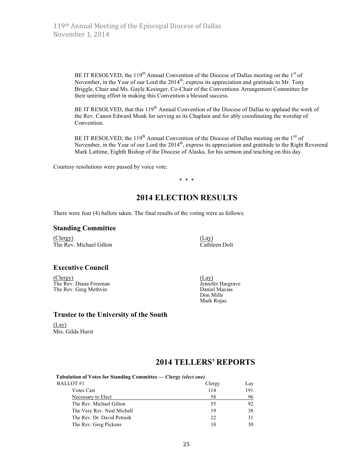BE IT RESOLVED, the 119<sup>th</sup> Annual Convention of the Diocese of Dallas meeting on the 1<sup>st</sup> of November, in the Year of our Lord the  $2014<sup>th</sup>$ , express its appreciation and gratitude to Mr. Tony Briggle, Chair and Ms. Gayle Kesinger, Co-Chair of the Conventions Arrangement Committee for their untiring effort in making this Convention a blessed success.

BE IT RESOLVED, that this 119<sup>th</sup> Annual Convention of the Diocese of Dallas to applaud the work of the Rev. Canon Edward Monk for serving as its Chaplain and for ably coordinating the worship of Convention.

BE IT RESOLVED, the 119<sup>th</sup> Annual Convention of the Diocese of Dallas meeting on the 1<sup>tst</sup> of November, in the Year of our Lord the 2014<sup>th</sup>, express its appreciation and gratitude to the Right Reverend Mark Lattime, Eighth Bishop of the Diocese of Alaska, for his sermon and teaching on this day.

Courtesy resolutions were passed by voice vote.

\* \* \*

# **2014 ELECTION RESULTS**

There were four (4) ballots taken. The final results of the voting were as follows:

#### **Standing Committee**

(Clergy) (Lay) The Rev. Michael Gilton Cathleen Dolt

## **Executive Council**

(Clergy) (Lay)<br>
The Rev. Diana Freeman (Clergy) (Lay) (Lay) The Rev. Diana Freeman Jennifer Hargraven Christian Lennifer Hargraven Jennifer Hargraven Daniel Macias The Rev. Greg Methvin

Don Mills Mark Rojas

## **Trustee to the University of the South**

(Lay) Mrs. Gilda Hurst

# **2014 TELLERS' REPORTS**

| Tabulation of Votes for Standing Committee — Clergy <i>(elect one)</i> |        |     |
|------------------------------------------------------------------------|--------|-----|
| BALLOT#1                                                               | Clergy | Lay |
| <b>Votes Cast</b>                                                      | 114    | 191 |
| Necessary to Elect                                                     | 58     | 96  |
| The Rev. Michael Gilton                                                | 55     | 92  |
| The Very Rev. Neal Michell                                             | 19     | 38  |
| The Rev. Dr. David Petrash                                             | 22.    | 31  |
| The Rev. Greg Pickens                                                  | 18     | 30  |